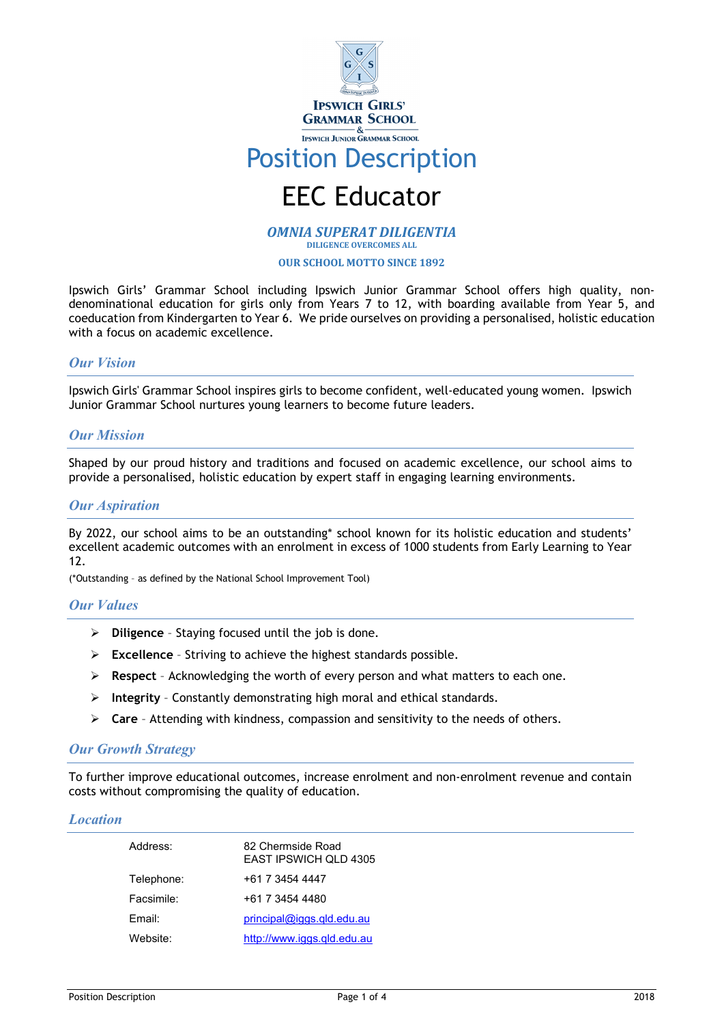

# Position Description

# EEC Educator

*OMNIA SUPERAT DILIGENTIA* **DILIGENCE OVERCOMES ALL** 

**OUR SCHOOL MOTTO SINCE 1892**

Ipswich Girls' Grammar School including Ipswich Junior Grammar School offers high quality, nondenominational education for girls only from Years 7 to 12, with boarding available from Year 5, and coeducation from Kindergarten to Year 6. We pride ourselves on providing a personalised, holistic education with a focus on academic excellence.

# *Our Vision*

Ipswich Girls' Grammar School inspires girls to become confident, well-educated young women. Ipswich Junior Grammar School nurtures young learners to become future leaders.

# *Our Mission*

Shaped by our proud history and traditions and focused on academic excellence, our school aims to provide a personalised, holistic education by expert staff in engaging learning environments.

#### *Our Aspiration*

By 2022, our school aims to be an outstanding\* school known for its holistic education and students' excellent academic outcomes with an enrolment in excess of 1000 students from Early Learning to Year 12.

(\*Outstanding – as defined by the National School Improvement Tool)

# *Our Values*

- **Diligence**  Staying focused until the job is done.
- **Excellence** Striving to achieve the highest standards possible.
- **Respect**  Acknowledging the worth of every person and what matters to each one.
- **Integrity** Constantly demonstrating high moral and ethical standards.
- **Care** Attending with kindness, compassion and sensitivity to the needs of others.

#### *Our Growth Strategy*

To further improve educational outcomes, increase enrolment and non-enrolment revenue and contain costs without compromising the quality of education.

#### *Location*

| Address:           | 82 Chermside Road<br>EAST IPSWICH OLD 4305 |
|--------------------|--------------------------------------------|
| Telephone:         | +61 7 3454 4447                            |
| Facsimile:         | +61 7 3454 4480                            |
| Fmail <sup>.</sup> | $principal@iggs$ .gld.edu.au               |
| Website:           | http://www.iggs.gld.edu.au                 |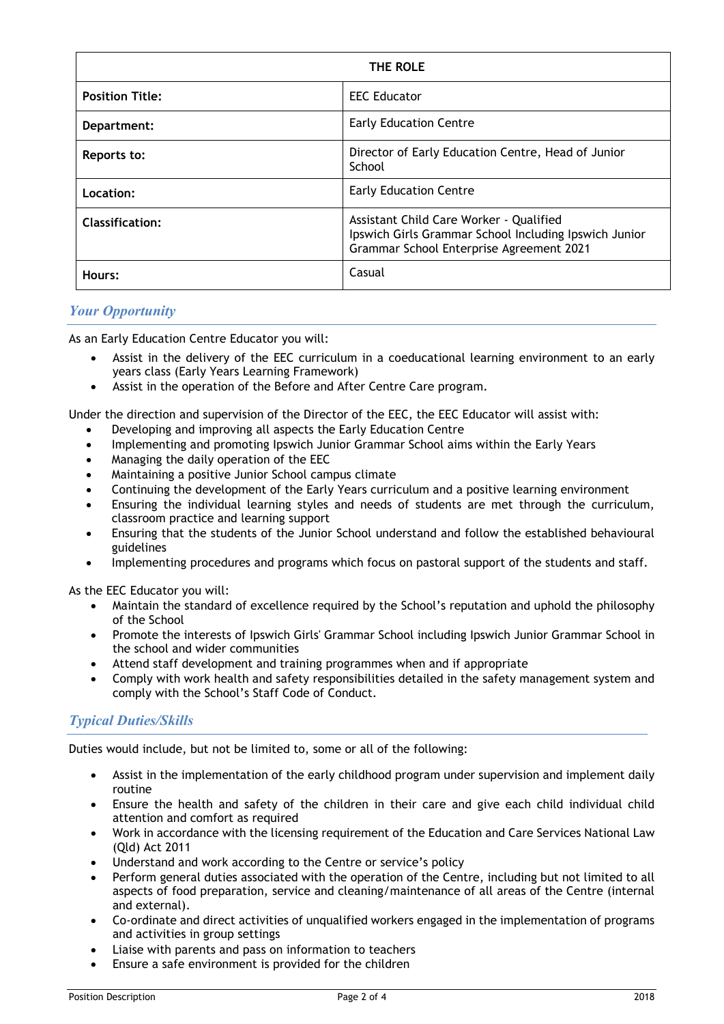| THE ROLE               |                                                                                                                                              |
|------------------------|----------------------------------------------------------------------------------------------------------------------------------------------|
| <b>Position Title:</b> | <b>EEC Educator</b>                                                                                                                          |
| Department:            | <b>Early Education Centre</b>                                                                                                                |
| Reports to:            | Director of Early Education Centre, Head of Junior<br>School                                                                                 |
| Location:              | <b>Early Education Centre</b>                                                                                                                |
| <b>Classification:</b> | Assistant Child Care Worker - Qualified<br>Ipswich Girls Grammar School Including Ipswich Junior<br>Grammar School Enterprise Agreement 2021 |
| Hours:                 | Casual                                                                                                                                       |

# *Your Opportunity*

As an Early Education Centre Educator you will:

- Assist in the delivery of the EEC curriculum in a coeducational learning environment to an early years class (Early Years Learning Framework)
- Assist in the operation of the Before and After Centre Care program.

Under the direction and supervision of the Director of the EEC, the EEC Educator will assist with:

- Developing and improving all aspects the Early Education Centre
- Implementing and promoting Ipswich Junior Grammar School aims within the Early Years
- Managing the daily operation of the EEC
- Maintaining a positive Junior School campus climate
- Continuing the development of the Early Years curriculum and a positive learning environment
- Ensuring the individual learning styles and needs of students are met through the curriculum, classroom practice and learning support
- Ensuring that the students of the Junior School understand and follow the established behavioural guidelines
- Implementing procedures and programs which focus on pastoral support of the students and staff.

As the EEC Educator you will:

- Maintain the standard of excellence required by the School's reputation and uphold the philosophy of the School
- Promote the interests of Ipswich Girls' Grammar School including Ipswich Junior Grammar School in the school and wider communities
- Attend staff development and training programmes when and if appropriate
- Comply with work health and safety responsibilities detailed in the safety management system and comply with the School's Staff Code of Conduct.

# *Typical Duties/Skills*

Duties would include, but not be limited to, some or all of the following:

- Assist in the implementation of the early childhood program under supervision and implement daily routine
- Ensure the health and safety of the children in their care and give each child individual child attention and comfort as required
- Work in accordance with the licensing requirement of the Education and Care Services National Law (Qld) Act 2011
- Understand and work according to the Centre or service's policy
- Perform general duties associated with the operation of the Centre, including but not limited to all aspects of food preparation, service and cleaning/maintenance of all areas of the Centre (internal and external).
- Co-ordinate and direct activities of unqualified workers engaged in the implementation of programs and activities in group settings
- Liaise with parents and pass on information to teachers
- Ensure a safe environment is provided for the children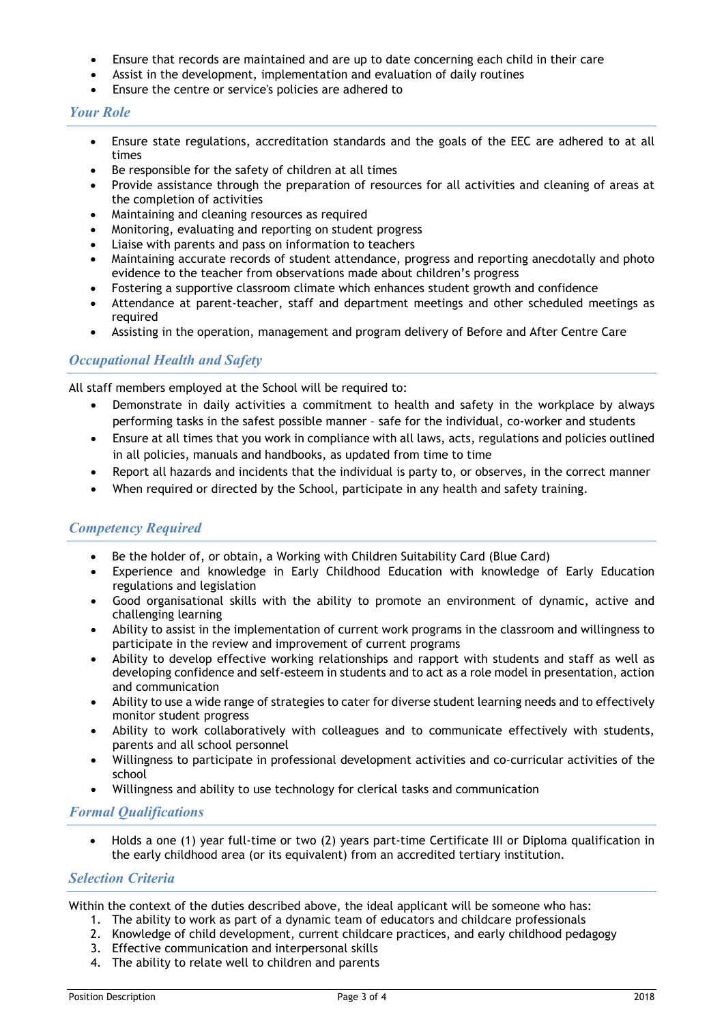- Ensure that records are maintained and are up to date concerning each child in their care
- Assist in the development, implementation and evaluation of daily routines
- Ensure the centre or service's policies are adhered to

#### *Your Role*

- Ensure state regulations, accreditation standards and the goals of the EEC are adhered to at all times
- Be responsible for the safety of children at all times
- Provide assistance through the preparation of resources for all activities and cleaning of areas at the completion of activities
- Maintaining and cleaning resources as required
- Monitoring, evaluating and reporting on student progress
- Liaise with parents and pass on information to teachers
- Maintaining accurate records of student attendance, progress and reporting anecdotally and photo evidence to the teacher from observations made about children's progress
- Fostering a supportive classroom climate which enhances student growth and confidence
- Attendance at parent-teacher, staff and department meetings and other scheduled meetings as required
- Assisting in the operation, management and program delivery of Before and After Centre Care

# *Occupational Health and Safety*

All staff members employed at the School will be required to:

- Demonstrate in daily activities a commitment to health and safety in the workplace by always performing tasks in the safest possible manner – safe for the individual, co-worker and students
- Ensure at all times that you work in compliance with all laws, acts, regulations and policies outlined in all policies, manuals and handbooks, as updated from time to time
- Report all hazards and incidents that the individual is party to, or observes, in the correct manner
- When required or directed by the School, participate in any health and safety training.

# *Competency Required*

- Be the holder of, or obtain, a Working with Children Suitability Card (Blue Card)
- Experience and knowledge in Early Childhood Education with knowledge of Early Education regulations and legislation
- Good organisational skills with the ability to promote an environment of dynamic, active and challenging learning
- Ability to assist in the implementation of current work programs in the classroom and willingness to participate in the review and improvement of current programs
- Ability to develop effective working relationships and rapport with students and staff as well as developing confidence and self-esteem in students and to act as a role model in presentation, action and communication
- Ability to use a wide range of strategies to cater for diverse student learning needs and to effectively monitor student progress
- Ability to work collaboratively with colleagues and to communicate effectively with students, parents and all school personnel
- Willingness to participate in professional development activities and co-curricular activities of the school
- Willingness and ability to use technology for clerical tasks and communication

# *Formal Qualifications*

• Holds a one (1) year full-time or two (2) years part-time Certificate III or Diploma qualification in the early childhood area (or its equivalent) from an accredited tertiary institution.

# *Selection Criteria*

Within the context of the duties described above, the ideal applicant will be someone who has:

- 1. The ability to work as part of a dynamic team of educators and childcare professionals
- 2. Knowledge of child development, current childcare practices, and early childhood pedagogy
- 3. Effective communication and interpersonal skills
- 4. The ability to relate well to children and parents